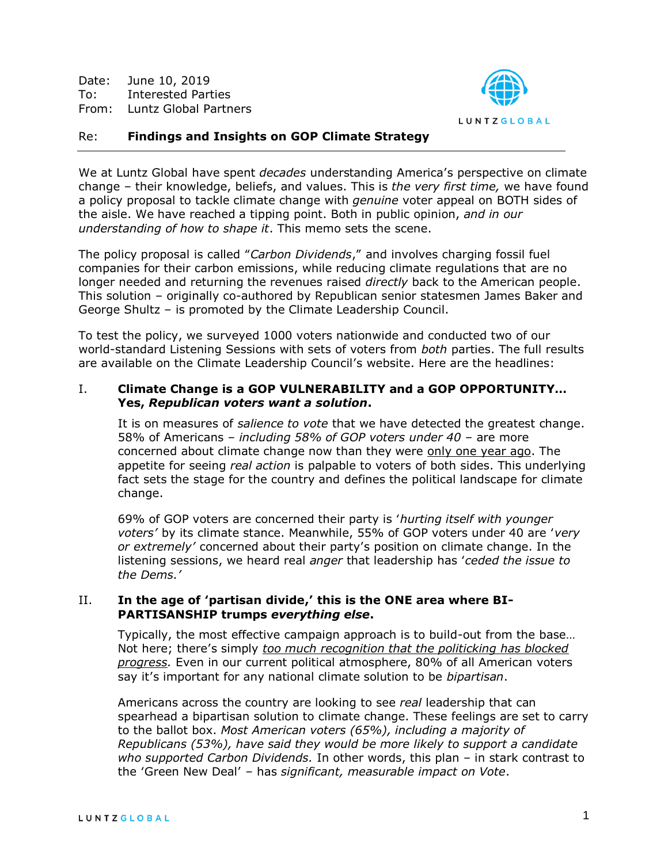Date: June 10, 2019 To: Interested Parties From: Luntz Global Partners



# Re: **Findings and Insights on GOP Climate Strategy**

We at Luntz Global have spent *decades* understanding America's perspective on climate change – their knowledge, beliefs, and values. This is *the very first time,* we have found a policy proposal to tackle climate change with *genuine* voter appeal on BOTH sides of the aisle. We have reached a tipping point. Both in public opinion, *and in our understanding of how to shape it*. This memo sets the scene.

The policy proposal is called "*Carbon Dividends*," and involves charging fossil fuel companies for their carbon emissions, while reducing climate regulations that are no longer needed and returning the revenues raised *directly* back to the American people. This solution – originally co-authored by Republican senior statesmen James Baker and George Shultz – is promoted by the Climate Leadership Council.

To test the policy, we surveyed 1000 voters nationwide and conducted two of our world-standard Listening Sessions with sets of voters from *both* parties. The full results are available on the Climate Leadership Council's website. Here are the headlines:

# I. **Climate Change is a GOP VULNERABILITY and a GOP OPPORTUNITY… Yes,** *Republican voters want a solution***.**

It is on measures of *salience to vote* that we have detected the greatest change. 58% of Americans – *including 58% of GOP voters under 40 –* are more concerned about climate change now than they were only one year ago. The appetite for seeing *real action* is palpable to voters of both sides. This underlying fact sets the stage for the country and defines the political landscape for climate change.

69% of GOP voters are concerned their party is '*hurting itself with younger voters'* by its climate stance. Meanwhile, 55% of GOP voters under 40 are '*very or extremely'* concerned about their party's position on climate change. In the listening sessions, we heard real *anger* that leadership has '*ceded the issue to the Dems.'*

### II. **In the age of 'partisan divide,' this is the ONE area where BI-PARTISANSHIP trumps** *everything else***.**

Typically, the most effective campaign approach is to build-out from the base… Not here; there's simply *too much recognition that the politicking has blocked progress.* Even in our current political atmosphere, 80% of all American voters say it's important for any national climate solution to be *bipartisan*.

Americans across the country are looking to see *real* leadership that can spearhead a bipartisan solution to climate change. These feelings are set to carry to the ballot box. *Most American voters (65%), including a majority of Republicans (53%), have said they would be more likely to support a candidate who supported Carbon Dividends.* In other words, this plan – in stark contrast to the 'Green New Deal' – has *significant, measurable impact on Vote*.